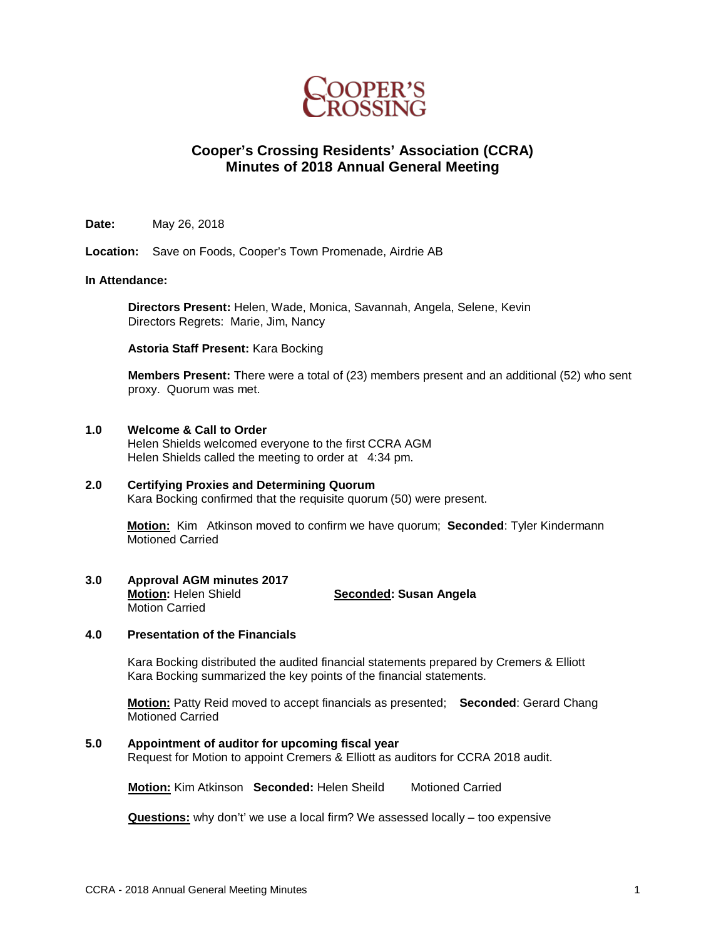

# **Cooper's Crossing Residents' Association (CCRA) Minutes of 2018 Annual General Meeting**

**Date:** May 26, 2018

**Location:** Save on Foods, Cooper's Town Promenade, Airdrie AB

### **In Attendance:**

**Directors Present:** Helen, Wade, Monica, Savannah, Angela, Selene, Kevin Directors Regrets: Marie, Jim, Nancy

**Astoria Staff Present:** Kara Bocking

**Members Present:** There were a total of (23) members present and an additional (52) who sent proxy. Quorum was met.

#### **1.0 Welcome & Call to Order**

Helen Shields welcomed everyone to the first CCRA AGM Helen Shields called the meeting to order at 4:34 pm.

## **2.0 Certifying Proxies and Determining Quorum**

Kara Bocking confirmed that the requisite quorum (50) were present.

**Motion:** Kim Atkinson moved to confirm we have quorum; **Seconded**: Tyler Kindermann Motioned Carried

**3.0 Approval AGM minutes 2017**

**Motion:** Helen Shield **Seconded: Susan Angela**  Motion Carried

## **4.0 Presentation of the Financials**

Kara Bocking distributed the audited financial statements prepared by Cremers & Elliott Kara Bocking summarized the key points of the financial statements.

**Motion:** Patty Reid moved to accept financials as presented; **Seconded**: Gerard Chang Motioned Carried

## **5.0 Appointment of auditor for upcoming fiscal year**

Request for Motion to appoint Cremers & Elliott as auditors for CCRA 2018 audit.

**Motion: Kim Atkinson Seconded: Helen Sheild Motioned Carried** 

**Questions:** why don't' we use a local firm? We assessed locally – too expensive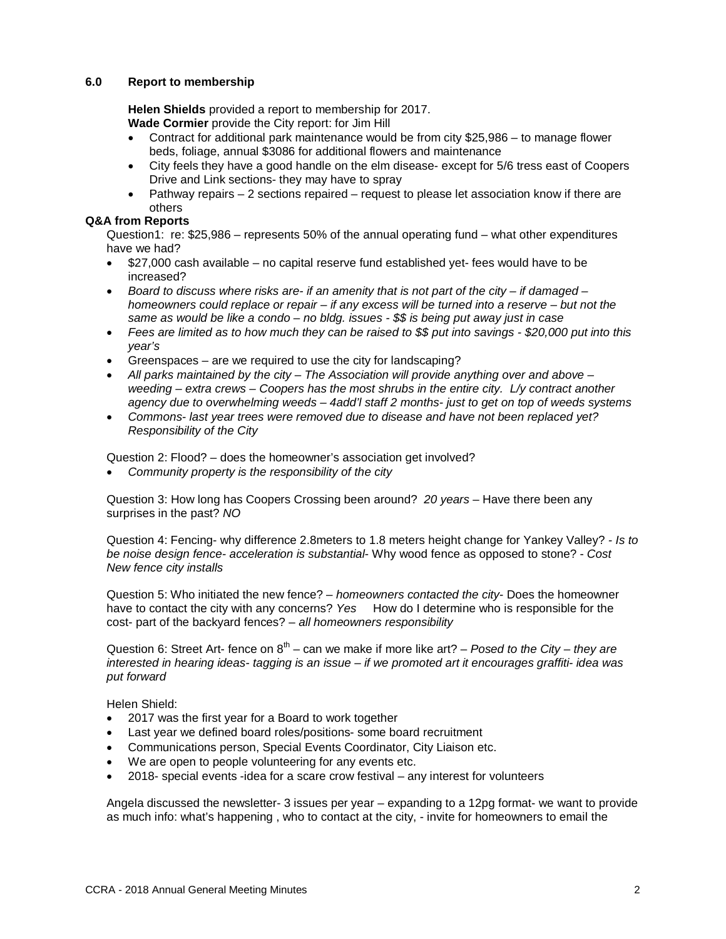### **6.0 Report to membership**

**Helen Shields** provided a report to membership for 2017. **Wade Cormier** provide the City report: for Jim Hill

- Contract for additional park maintenance would be from city \$25,986 to manage flower beds, foliage, annual \$3086 for additional flowers and maintenance
- City feels they have a good handle on the elm disease- except for 5/6 tress east of Coopers Drive and Link sections- they may have to spray
- Pathway repairs  $-2$  sections repaired  $-$  request to please let association know if there are others

## **Q&A from Reports**

Question1: re: \$25,986 – represents 50% of the annual operating fund – what other expenditures have we had?

- \$27,000 cash available no capital reserve fund established yet- fees would have to be increased?
- *Board to discuss where risks are- if an amenity that is not part of the city – if damaged – homeowners could replace or repair – if any excess will be turned into a reserve – but not the same as would be like a condo – no bldg. issues - \$\$ is being put away just in case*
- *Fees are limited as to how much they can be raised to \$\$ put into savings - \$20,000 put into this year's*
- Greenspaces are we required to use the city for landscaping?
- *All parks maintained by the city – The Association will provide anything over and above – weeding – extra crews – Coopers has the most shrubs in the entire city. L/y contract another agency due to overwhelming weeds – 4add'l staff 2 months- just to get on top of weeds systems*
- *Commons- last year trees were removed due to disease and have not been replaced yet? Responsibility of the City*

Question 2: Flood? – does the homeowner's association get involved?

• *Community property is the responsibility of the city*

Question 3: How long has Coopers Crossing been around? *20 years* – Have there been any surprises in the past? *NO*

Question 4: Fencing- why difference 2.8meters to 1.8 meters height change for Yankey Valley? *- Is to be noise design fence- acceleration is substantial*- Why wood fence as opposed to stone? - *Cost New fence city installs*

Question 5: Who initiated the new fence? – *homeowners contacted the city*- Does the homeowner have to contact the city with any concerns? *Yes* How do I determine who is responsible for the cost- part of the backyard fences? – *all homeowners responsibility*

Question 6: Street Art- fence on 8<sup>th</sup> – can we make if more like art? – *Posed to the City – they are interested in hearing ideas- tagging is an issue – if we promoted art it encourages graffiti- idea was put forward*

Helen Shield:

- 2017 was the first year for a Board to work together
- Last year we defined board roles/positions- some board recruitment
- Communications person, Special Events Coordinator, City Liaison etc.
- We are open to people volunteering for any events etc.
- 2018- special events -idea for a scare crow festival any interest for volunteers

Angela discussed the newsletter- 3 issues per year – expanding to a 12pg format- we want to provide as much info: what's happening , who to contact at the city, - invite for homeowners to email the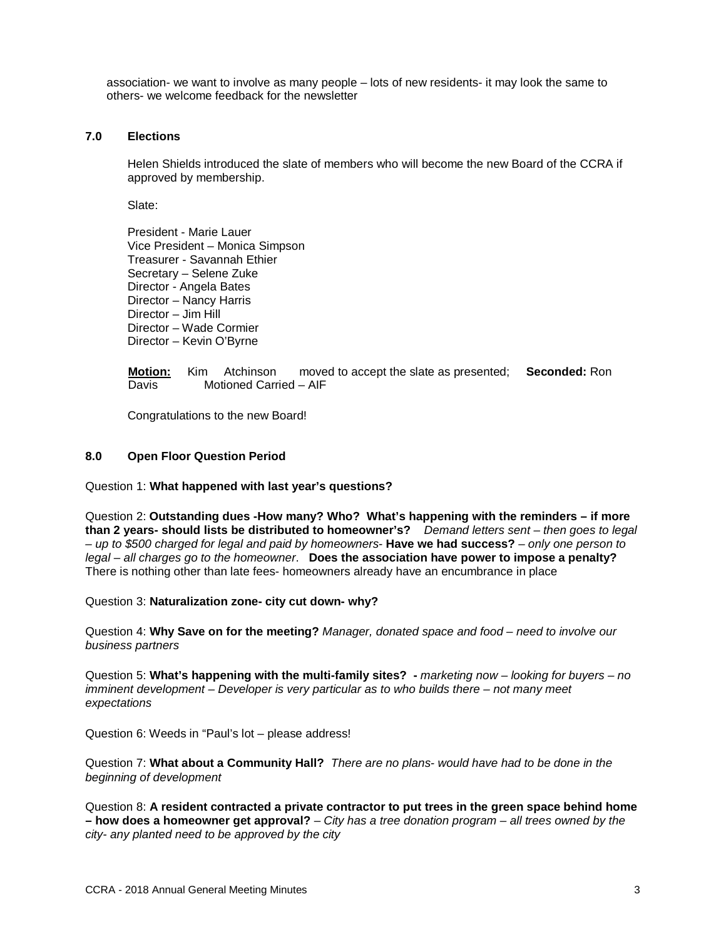association- we want to involve as many people – lots of new residents- it may look the same to others- we welcome feedback for the newsletter

#### **7.0 Elections**

Helen Shields introduced the slate of members who will become the new Board of the CCRA if approved by membership.

Slate:

President - Marie Lauer Vice President – Monica Simpson Treasurer - Savannah Ethier Secretary – Selene Zuke Director - Angela Bates Director – Nancy Harris Director – Jim Hill Director – Wade Cormier Director – Kevin O'Byrne

### **Motion:** Kim Atchinson moved to accept the slate as presented; **Seconded:** Ron Davis Motioned Carried – AIF

Congratulations to the new Board!

#### **8.0 Open Floor Question Period**

Question 1: **What happened with last year's questions?**

Question 2: **Outstanding dues -How many? Who? What's happening with the reminders – if more than 2 years- should lists be distributed to homeowner's?** *Demand letters sent – then goes to legal – up to \$500 charged for legal and paid by homeowners-* **Have we had success?** *– only one person to legal – all charges go to the homeowner*. **Does the association have power to impose a penalty?** There is nothing other than late fees- homeowners already have an encumbrance in place

Question 3: **Naturalization zone- city cut down- why?**

Question 4: **Why Save on for the meeting?** *Manager, donated space and food – need to involve our business partners*

Question 5: **What's happening with the multi-family sites? -** *marketing now – looking for buyers – no imminent development – Developer is very particular as to who builds there – not many meet expectations*

Question 6: Weeds in "Paul's lot – please address!

Question 7: **What about a Community Hall?** *There are no plans- would have had to be done in the beginning of development*

Question 8: **A resident contracted a private contractor to put trees in the green space behind home – how does a homeowner get approval?** – *City has a tree donation program – all trees owned by the city- any planted need to be approved by the city*